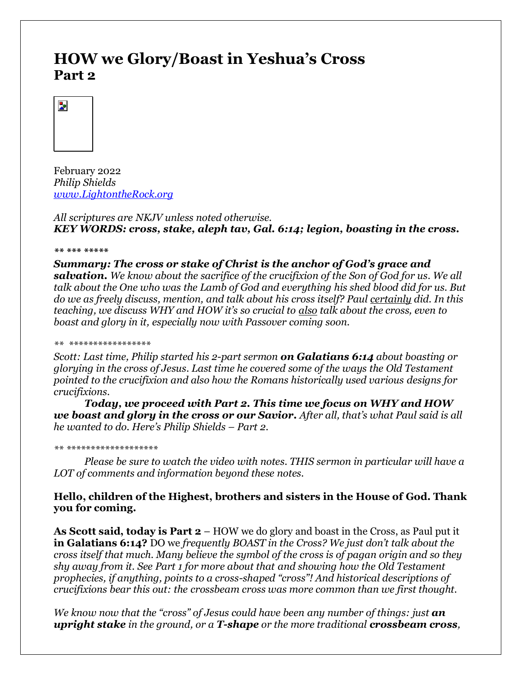# **HOW we Glory/Boast in Yeshua's Cross Part 2**



February 2022 *Philip Shields [www.LightontheRock.org](http://www.lightontherock.org/)*

*All scriptures are NKJV unless noted otherwise. KEY WORDS: cross, stake, aleph tav, Gal. 6:14; legion, boasting in the cross.*

*\*\* \*\*\* \*\*\*\*\** 

*Summary: The cross or stake of Christ is the anchor of God's grace and salvation. We know about the sacrifice of the crucifixion of the Son of God for us. We all talk about the One who was the Lamb of God and everything his shed blood did for us. But do we as freely discuss, mention, and talk about his cross itself? Paul certainly did. In this teaching, we discuss WHY and HOW it's so crucial to also talk about the cross, even to boast and glory in it, especially now with Passover coming soon.*

#### *\*\* \*\*\*\*\*\*\*\*\*\*\*\*\*\*\*\*\**

*Scott: Last time, Philip started his 2-part sermon on Galatians 6:14 about boasting or glorying in the cross of Jesus. Last time he covered some of the ways the Old Testament pointed to the crucifixion and also how the Romans historically used various designs for crucifixions.* 

*Today, we proceed with Part 2. This time we focus on WHY and HOW we boast and glory in the cross or our Savior. After all, that's what Paul said is all he wanted to do. Here's Philip Shields – Part 2.* 

#### *\*\* \*\*\*\*\*\*\*\*\*\*\*\*\*\*\*\*\*\*\**

*Please be sure to watch the video with notes. THIS sermon in particular will have a LOT of comments and information beyond these notes.* 

# **Hello, children of the Highest, brothers and sisters in the House of God. Thank you for coming.**

**As Scott said, today is Part 2** – HOW we do glory and boast in the Cross, as Paul put it **in Galatians 6:14?** DO we *frequently BOAST in the Cross? We just don't talk about the cross itself that much. Many believe the symbol of the cross is of pagan origin and so they shy away from it. See Part 1 for more about that and showing how the Old Testament prophecies, if anything, points to a cross-shaped "cross"! And historical descriptions of crucifixions bear this out: the crossbeam cross was more common than we first thought.* 

*We know now that the "cross" of Jesus could have been any number of things: just an upright stake in the ground, or a T-shape or the more traditional crossbeam cross,*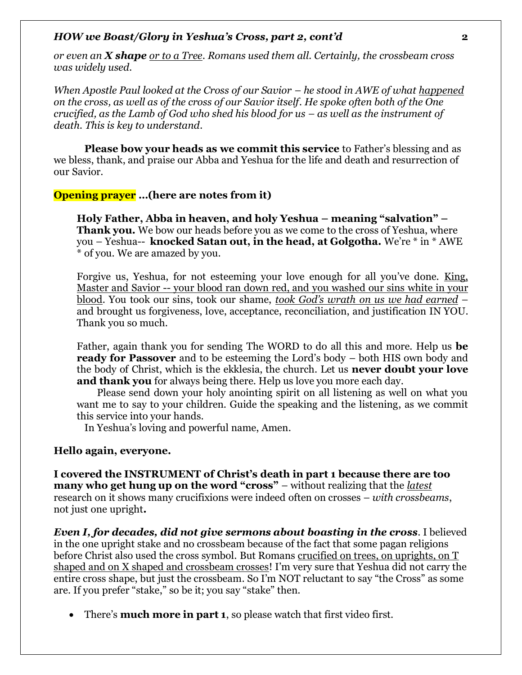*or even an X shape or to a Tree. Romans used them all. Certainly, the crossbeam cross was widely used.* 

*When Apostle Paul looked at the Cross of our Savior – he stood in AWE of what happened on the cross, as well as of the cross of our Savior itself. He spoke often both of the One crucified, as the Lamb of God who shed his blood for us – as well as the instrument of death. This is key to understand.* 

**Please bow your heads as we commit this service** to Father's blessing and as we bless, thank, and praise our Abba and Yeshua for the life and death and resurrection of our Savior.

**Opening prayer …(here are notes from it)**

**Holy Father, Abba in heaven, and holy Yeshua – meaning "salvation" – Thank you.** We bow our heads before you as we come to the cross of Yeshua, where you – Yeshua-- **knocked Satan out, in the head, at Golgotha.** We're \* in \* AWE \* of you. We are amazed by you.

Forgive us, Yeshua, for not esteeming your love enough for all you've done. King, Master and Savior -- your blood ran down red, and you washed our sins white in your blood. You took our sins, took our shame, *took God's wrath on us we had earned* – and brought us forgiveness, love, acceptance, reconciliation, and justification IN YOU. Thank you so much.

Father, again thank you for sending The WORD to do all this and more. Help us **be ready for Passover** and to be esteeming the Lord's body – both HIS own body and the body of Christ, which is the ekklesia, the church. Let us **never doubt your love and thank you** for always being there. Help us love you more each day.

 Please send down your holy anointing spirit on all listening as well on what you want me to say to your children. Guide the speaking and the listening, as we commit this service into your hands.

In Yeshua's loving and powerful name, Amen.

### **Hello again, everyone.**

**I covered the INSTRUMENT of Christ's death in part 1 because there are too many who get hung up on the word "cross"** – without realizing that the *latest* research on it shows many crucifixions were indeed often on crosses – *with crossbeams*, not just one upright**.** 

*Even I, for decades, did not give sermons about boasting in the cross*. I believed in the one upright stake and no crossbeam because of the fact that some pagan religions before Christ also used the cross symbol. But Romans crucified on trees, on uprights, on T shaped and on X shaped and crossbeam crosses! I'm very sure that Yeshua did not carry the entire cross shape, but just the crossbeam. So I'm NOT reluctant to say "the Cross" as some are. If you prefer "stake," so be it; you say "stake" then.

• There's **much more in part 1**, so please watch that first video first.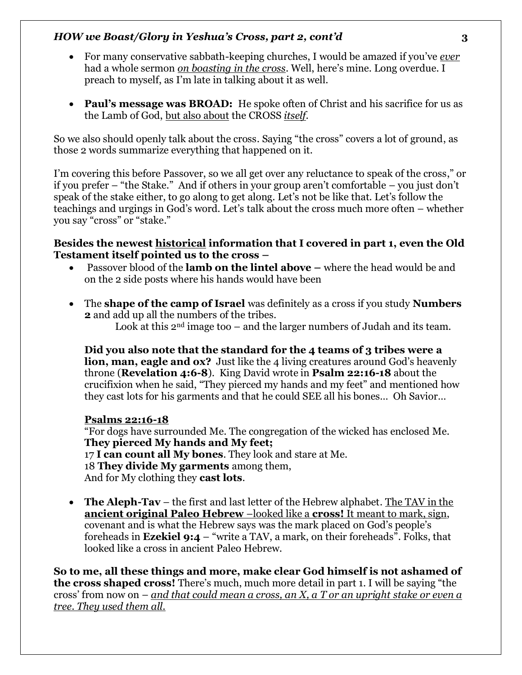- For many conservative sabbath-keeping churches, I would be amazed if you've *ever* had a whole sermon *on boasting in the cross*. Well, here's mine. Long overdue. I preach to myself, as I'm late in talking about it as well.
- **Paul's message was BROAD:** He spoke often of Christ and his sacrifice for us as the Lamb of God, but also about the CROSS *itself*.

So we also should openly talk about the cross. Saying "the cross" covers a lot of ground, as those 2 words summarize everything that happened on it.

I'm covering this before Passover, so we all get over any reluctance to speak of the cross," or if you prefer – "the Stake." And if others in your group aren't comfortable – you just don't speak of the stake either, to go along to get along. Let's not be like that. Let's follow the teachings and urgings in God's word. Let's talk about the cross much more often – whether you say "cross" or "stake."

### **Besides the newest historical information that I covered in part 1, even the Old Testament itself pointed us to the cross –**

- Passover blood of the **lamb on the lintel above –** where the head would be and on the 2 side posts where his hands would have been
- The **shape of the camp of Israel** was definitely as a cross if you study **Numbers 2** and add up all the numbers of the tribes.

Look at this  $2<sup>nd</sup>$  image too – and the larger numbers of Judah and its team.

**Did you also note that the standard for the 4 teams of 3 tribes were a lion, man, eagle and ox?** Just like the 4 living creatures around God's heavenly throne (**Revelation 4:6-8**). King David wrote in **Psalm 22:16-18** about the crucifixion when he said, "They pierced my hands and my feet" and mentioned how they cast lots for his garments and that he could SEE all his bones… Oh Savior…

# **Psalms 22:16-18**

"For dogs have surrounded Me. The congregation of the wicked has enclosed Me. **They pierced My hands and My feet;** 17 **I can count all My bones**. They look and stare at Me. 18 **They divide My garments** among them, And for My clothing they **cast lots**.

• **The Aleph-Tav** – the first and last letter of the Hebrew alphabet. The TAV in the **ancient original Paleo Hebrew** –looked like a **cross!** It meant to mark, sign, covenant and is what the Hebrew says was the mark placed on God's people's foreheads in **Ezekiel 9:4** – "write a TAV, a mark, on their foreheads". Folks, that looked like a cross in ancient Paleo Hebrew.

**So to me, all these things and more, make clear God himself is not ashamed of the cross shaped cross!** There's much, much more detail in part 1. I will be saying "the cross' from now on – *and that could mean a cross, an X, a T or an upright stake or even a tree. They used them all.*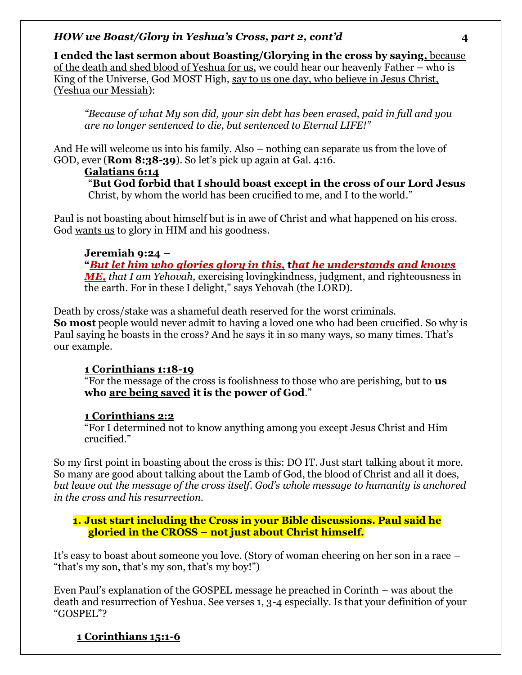**I ended the last sermon about Boasting/Glorying in the cross by saying,** because of the death and shed blood of Yeshua for us, we could hear our heavenly Father – who is King of the Universe, God MOST High, say to us one day, who believe in Jesus Christ, (Yeshua our Messiah):

*"Because of what My son did, your sin debt has been erased, paid in full and you are no longer sentenced to die, but sentenced to Eternal LIFE!"*

And He will welcome us into his family. Also – nothing can separate us from the love of GOD, ever (**Rom 8:38-39**). So let's pick up again at Gal. 4:16.

# **Galatians 6:14**

"**But God forbid that I should boast except in the cross of our Lord Jesus** Christ, by whom the world has been crucified to me, and I to the world."

Paul is not boasting about himself but is in awe of Christ and what happened on his cross. God wants us to glory in HIM and his goodness.

# **Jeremiah 9:24 –**

**"***But let him who glories glory in this,* **t***hat he understands and knows ME, that I am Yehovah,* exercising lovingkindness, judgment, and righteousness in the earth. For in these I delight," says Yehovah (the LORD).

Death by cross/stake was a shameful death reserved for the worst criminals. **So most** people would never admit to having a loved one who had been crucified. So why is Paul saying he boasts in the cross? And he says it in so many ways, so many times. That's our example.

# **1 Corinthians 1:18-19**

"For the message of the cross is foolishness to those who are perishing, but to **us who are being saved it is the power of God**."

### **1 Corinthians 2:2**

"For I determined not to know anything among you except Jesus Christ and Him crucified."

So my first point in boasting about the cross is this: DO IT. Just start talking about it more. So many are good about talking about the Lamb of God, the blood of Christ and all it does, *but leave out the message of the cross itself. God's whole message to humanity is anchored in the cross and his resurrection.* 

**1. Just start including the Cross in your Bible discussions. Paul said he gloried in the CROSS – not just about Christ himself.** 

It's easy to boast about someone you love. (Story of woman cheering on her son in a race – "that's my son, that's my son, that's my boy!")

Even Paul's explanation of the GOSPEL message he preached in Corinth – was about the death and resurrection of Yeshua. See verses 1, 3-4 especially. Is that your definition of your "GOSPEL"?

# **1 Corinthians 15:1-6**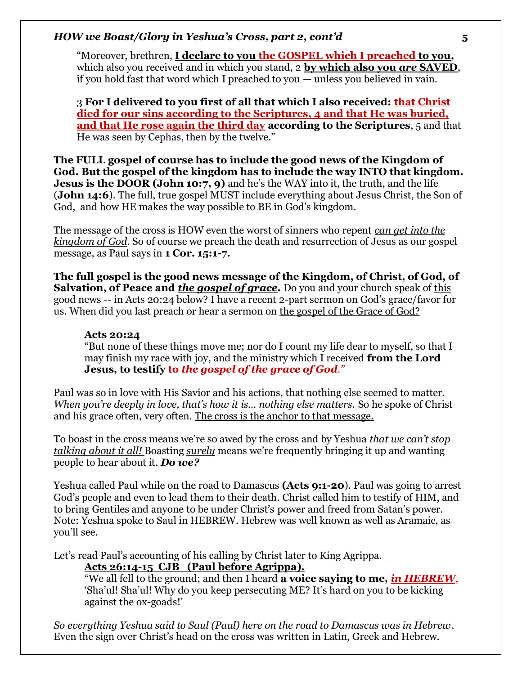"Moreover, brethren, **I declare to you the GOSPEL which I preached to you,** which also you received and in which you stand, 2 **by which also you** *are* **SAVED**, if you hold fast that word which I preached to you — unless you believed in vain.

3 **For I delivered to you first of all that which I also received: that Christ died for our sins according to the Scriptures, 4 and that He was buried, and that He rose again the third day according to the Scriptures**, 5 and that He was seen by Cephas, then by the twelve."

**The FULL gospel of course has to include the good news of the Kingdom of God. But the gospel of the kingdom has to include the way INTO that kingdom. Jesus is the DOOR (John 10:7, 9)** and he's the WAY into it, the truth, and the life (**John 14:6**). The full, true gospel MUST include everything about Jesus Christ, the Son of God, and how HE makes the way possible to BE in God's kingdom.

The message of the cross is HOW even the worst of sinners who repent *can get into the kingdom of God*. So of course we preach the death and resurrection of Jesus as our gospel message, as Paul says in **1 Cor. 15:1-7.** 

**The full gospel is the good news message of the Kingdom, of Christ, of God, of Salvation, of Peace and** *the gospel of grace*. Do you and your church speak of this good news -- in Acts 20:24 below? I have a recent 2-part sermon on God's grace/favor for us. When did you last preach or hear a sermon on the gospel of the Grace of God?

### **Acts 20:24**

"But none of these things move me; nor do I count my life dear to myself, so that I may finish my race with joy, and the ministry which I received **from the Lord Jesus, to testify to** *the gospel of the grace of God."*

Paul was so in love with His Savior and his actions, that nothing else seemed to matter. *When you're deeply in love, that's how it is… nothing else matters.* So he spoke of Christ and his grace often, very often. The cross is the anchor to that message.

To boast in the cross means we're so awed by the cross and by Yeshua *that we can't stop talking about it all!* Boasting *surely* means we're frequently bringing it up and wanting people to hear about it. *Do we?*

Yeshua called Paul while on the road to Damascus **(Acts 9:1-20**). Paul was going to arrest God's people and even to lead them to their death. Christ called him to testify of HIM, and to bring Gentiles and anyone to be under Christ's power and freed from Satan's power. Note: Yeshua spoke to Saul in HEBREW. Hebrew was well known as well as Aramaic, as you'll see.

Let's read Paul's accounting of his calling by Christ later to King Agrippa.

**Acts 26:14-15 CJB (Paul before Agrippa).**

"We all fell to the ground; and then I heard **a voice saying to me,** *in HEBREW*, 'Sha'ul! Sha'ul! Why do you keep persecuting ME? It's hard on you to be kicking against the ox-goads!'

*So everything Yeshua said to Saul (Paul) here on the road to Damascus was in Hebrew*. Even the sign over Christ's head on the cross was written in Latin, Greek and Hebrew.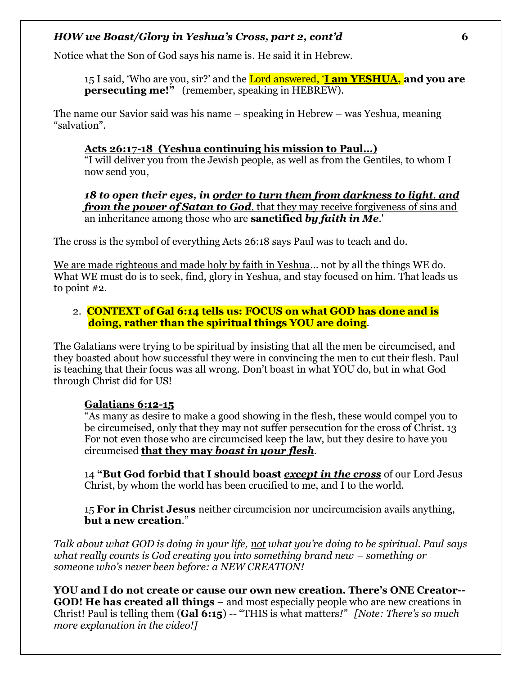Notice what the Son of God says his name is. He said it in Hebrew.

15 I said, 'Who are you, sir?' and the Lord answered, '**I am YESHUA, and you are persecuting me!"** (remember, speaking in HEBREW).

The name our Savior said was his name – speaking in Hebrew – was Yeshua, meaning "salvation".

### **Acts 26:17-18 (Yeshua continuing his mission to Paul…)**

"I will deliver you from the Jewish people, as well as from the Gentiles, to whom I now send you,

*18 to open their eyes, in order to turn them from darkness to light, and from the power of Satan to God*, that they may receive forgiveness of sins and an inheritance among those who are **sanctified** *by faith in Me*.'

The cross is the symbol of everything Acts 26:18 says Paul was to teach and do.

We are made righteous and made holy by faith in Yeshua… not by all the things WE do. What WE must do is to seek, find, glory in Yeshua, and stay focused on him. That leads us to point #2.

### 2. **CONTEXT of Gal 6:14 tells us: FOCUS on what GOD has done and is doing, rather than the spiritual things YOU are doing**.

The Galatians were trying to be spiritual by insisting that all the men be circumcised, and they boasted about how successful they were in convincing the men to cut their flesh. Paul is teaching that their focus was all wrong. Don't boast in what YOU do, but in what God through Christ did for US!

# **Galatians 6:12-15**

"As many as desire to make a good showing in the flesh, these would compel you to be circumcised, only that they may not suffer persecution for the cross of Christ. 13 For not even those who are circumcised keep the law, but they desire to have you circumcised **that they may** *boast in your flesh.* 

14 **"But God forbid that I should boast** *except in the cross* of our Lord Jesus Christ, by whom the world has been crucified to me, and I to the world.

15 **For in Christ Jesus** neither circumcision nor uncircumcision avails anything, **but a new creation**."

*Talk about what GOD is doing in your life, not what you're doing to be spiritual. Paul says what really counts is God creating you into something brand new – something or someone who's never been before: a NEW CREATION!* 

**YOU and I do not create or cause our own new creation. There's ONE Creator-- GOD! He has created all things** – and most especially people who are new creations in Christ! Paul is telling them (**Gal 6:15**) -- "THIS is what matters*!" [Note: There's so much more explanation in the video!]*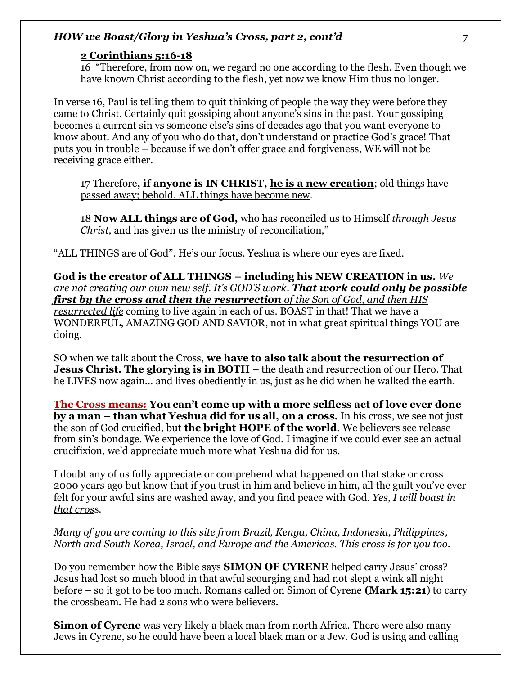### **2 Corinthians 5:16-18**

16 "Therefore, from now on, we regard no one according to the flesh. Even though we have known Christ according to the flesh, yet now we know Him thus no longer.

In verse 16, Paul is telling them to quit thinking of people the way they were before they came to Christ. Certainly quit gossiping about anyone's sins in the past. Your gossiping becomes a current sin vs someone else's sins of decades ago that you want everyone to know about. And any of you who do that, don't understand or practice God's grace! That puts you in trouble – because if we don't offer grace and forgiveness, WE will not be receiving grace either.

17 Therefore**, if anyone is IN CHRIST, he is a new creation**; old things have passed away; behold, ALL things have become new.

18 **Now ALL things are of God,** who has reconciled us to Himself *through Jesus Christ*, and has given us the ministry of reconciliation,"

"ALL THINGS are of God". He's our focus. Yeshua is where our eyes are fixed.

**God is the creator of ALL THINGS – including his NEW CREATION in us.** *We are not creating our own new self. It's GOD'S work*. *That work could only be possible first by the cross and then the resurrection of the Son of God, and then HIS resurrected life* coming to live again in each of us. BOAST in that! That we have a WONDERFUL, AMAZING GOD AND SAVIOR, not in what great spiritual things YOU are doing.

SO when we talk about the Cross, **we have to also talk about the resurrection of Jesus Christ. The glorying is in BOTH** – the death and resurrection of our Hero. That he LIVES now again… and lives obediently in us, just as he did when he walked the earth.

**The Cross means: You can't come up with a more selfless act of love ever done by a man – than what Yeshua did for us all, on a cross.** In his cross, we see not just the son of God crucified, but **the bright HOPE of the world**. We believers see release from sin's bondage. We experience the love of God. I imagine if we could ever see an actual crucifixion, we'd appreciate much more what Yeshua did for us.

I doubt any of us fully appreciate or comprehend what happened on that stake or cross 2000 years ago but know that if you trust in him and believe in him, all the guilt you've ever felt for your awful sins are washed away, and you find peace with God. *Yes, I will boast in that cros*s.

*Many of you are coming to this site from Brazil, Kenya, China, Indonesia, Philippines, North and South Korea, Israel, and Europe and the Americas. This cross is for you too.* 

Do you remember how the Bible says **SIMON OF CYRENE** helped carry Jesus' cross? Jesus had lost so much blood in that awful scourging and had not slept a wink all night before – so it got to be too much. Romans called on Simon of Cyrene **(Mark 15:21**) to carry the crossbeam. He had 2 sons who were believers.

**Simon of Cyrene** was very likely a black man from north Africa. There were also many Jews in Cyrene, so he could have been a local black man or a Jew. God is using and calling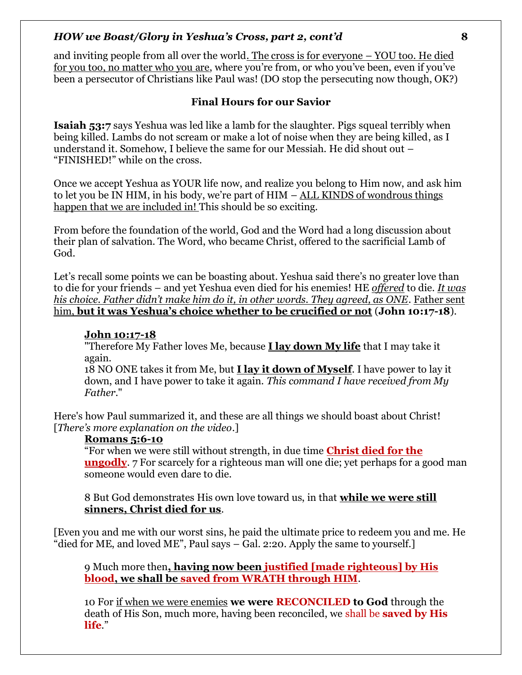and inviting people from all over the world. The cross is for everyone – YOU too. He died for you too, no matter who you are, where you're from, or who you've been, even if you've been a persecutor of Christians like Paul was! (DO stop the persecuting now though, OK?)

### **Final Hours for our Savior**

**Isaiah 53:7** says Yeshua was led like a lamb for the slaughter. Pigs squeal terribly when being killed. Lambs do not scream or make a lot of noise when they are being killed, as I understand it. Somehow, I believe the same for our Messiah. He did shout out – "FINISHED!" while on the cross.

Once we accept Yeshua as YOUR life now, and realize you belong to Him now, and ask him to let you be IN HIM, in his body, we're part of HIM – ALL KINDS of wondrous things happen that we are included in! This should be so exciting.

From before the foundation of the world, God and the Word had a long discussion about their plan of salvation. The Word, who became Christ, offered to the sacrificial Lamb of God.

Let's recall some points we can be boasting about. Yeshua said there's no greater love than to die for your friends – and yet Yeshua even died for his enemies! HE *offered* to die. *It was his choice. Father didn't make him do it, in other words. They agreed, as ONE*. Father sent him, **but it was Yeshua's choice whether to be crucified or not** (**John 10:17-18**).

### **John 10:17-18**

"Therefore My Father loves Me, because **I lay down My life** that I may take it again.

18 NO ONE takes it from Me, but **I lay it down of Myself**. I have power to lay it down, and I have power to take it again. *This command I have received from My Father*."

Here's how Paul summarized it, and these are all things we should boast about Christ! [*There's more explanation on the video*.]

### **Romans 5:6-10**

"For when we were still without strength, in due time **Christ died for the ungodly**. 7 For scarcely for a righteous man will one die; yet perhaps for a good man someone would even dare to die.

8 But God demonstrates His own love toward us, in that **while we were still sinners, Christ died for us**.

[Even you and me with our worst sins, he paid the ultimate price to redeem you and me. He "died for ME, and loved ME", Paul says – Gal. 2:20. Apply the same to yourself.]

9 Much more then**, having now been justified [made righteous] by His blood, we shall be saved from WRATH through HIM**.

10 For if when we were enemies **we were RECONCILED to God** through the death of His Son, much more, having been reconciled, we shall be **saved by His life**."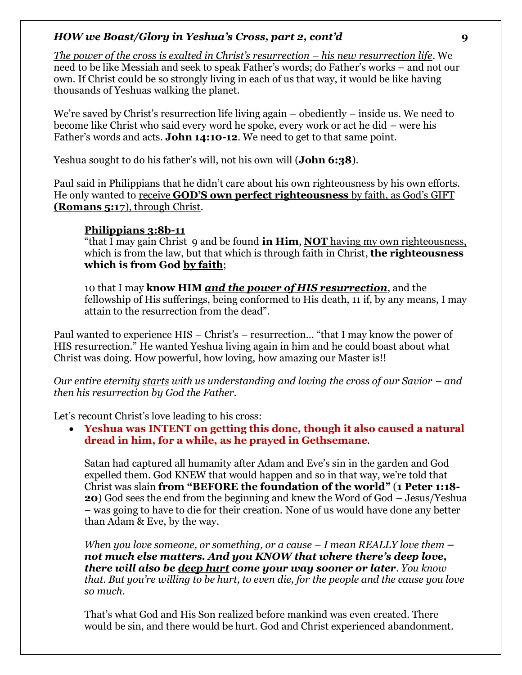*The power of the cross is exalted in Christ's resurrection – his new resurrection life*. We need to be like Messiah and seek to speak Father's words; do Father's works – and not our own. If Christ could be so strongly living in each of us that way, it would be like having thousands of Yeshuas walking the planet.

We're saved by Christ's resurrection life living again – obediently – inside us. We need to become like Christ who said every word he spoke, every work or act he did – were his Father's words and acts. **John 14:10-12**. We need to get to that same point.

Yeshua sought to do his father's will, not his own will (**John 6:38**).

Paul said in Philippians that he didn't care about his own righteousness by his own efforts. He only wanted to receive **GOD'S own perfect righteousness** by faith, as God's GIFT **(Romans 5:17**), through Christ.

# **Philippians 3:8b-11**

"that I may gain Christ 9 and be found **in Him**, **NOT** having my own righteousness, which is from the law, but that which is through faith in Christ, **the righteousness which is from God by faith**;

10 that I may **know HIM** *and the power of HIS resurrection*, and the fellowship of His sufferings, being conformed to His death, 11 if, by any means, I may attain to the resurrection from the dead".

Paul wanted to experience HIS – Christ's – resurrection… "that I may know the power of HIS resurrection." He wanted Yeshua living again in him and he could boast about what Christ was doing. How powerful, how loving, how amazing our Master is!!

*Our entire eternity starts with us understanding and loving the cross of our Savior – and then his resurrection by God the Father.* 

Let's recount Christ's love leading to his cross:

• **Yeshua was INTENT on getting this done, though it also caused a natural dread in him, for a while, as he prayed in Gethsemane**.

Satan had captured all humanity after Adam and Eve's sin in the garden and God expelled them. God KNEW that would happen and so in that way, we're told that Christ was slain **from "BEFORE the foundation of the world"** (**1 Peter 1:18- 20**) God sees the end from the beginning and knew the Word of God – Jesus/Yeshua – was going to have to die for their creation. None of us would have done any better than Adam & Eve, by the way.

*When you love someone, or something, or a cause – I mean REALLY love them – not much else matters. And you KNOW that where there's deep love, there will also be deep hurt come your way sooner or later. You know that. But you're willing to be hurt, to even die, for the people and the cause you love so much.* 

That's what God and His Son realized before mankind was even created. There would be sin, and there would be hurt. God and Christ experienced abandonment.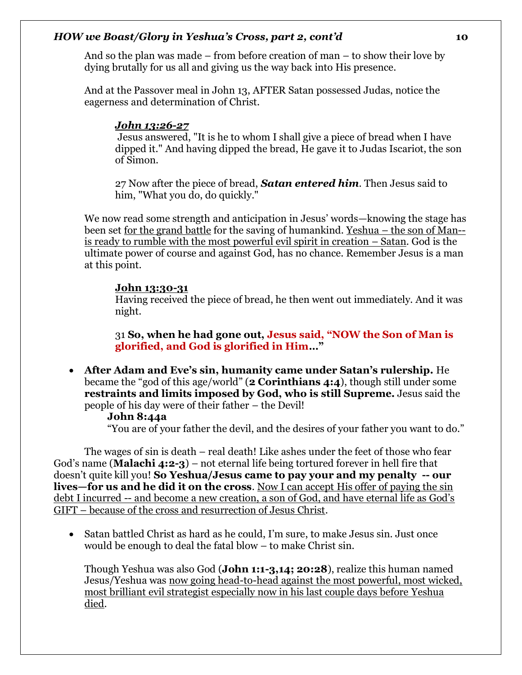And so the plan was made – from before creation of man – to show their love by dying brutally for us all and giving us the way back into His presence.

And at the Passover meal in John 13, AFTER Satan possessed Judas, notice the eagerness and determination of Christ.

# *John 13:26-27*

Jesus answered, "It is he to whom I shall give a piece of bread when I have dipped it." And having dipped the bread, He gave it to Judas Iscariot, the son of Simon.

27 Now after the piece of bread, *Satan entered him*. Then Jesus said to him, "What you do, do quickly."

We now read some strength and anticipation in Jesus' words—knowing the stage has been set for the grand battle for the saving of humankind. Yeshua – the son of Man- is ready to rumble with the most powerful evil spirit in creation – Satan. God is the ultimate power of course and against God, has no chance. Remember Jesus is a man at this point.

# **John 13:30-31**

Having received the piece of bread, he then went out immediately. And it was night.

31 **So, when he had gone out, Jesus said, "NOW the Son of Man is glorified, and God is glorified in Him…"**

• **After Adam and Eve's sin, humanity came under Satan's rulership.** He became the "god of this age/world" (**2 Corinthians 4:4**), though still under some **restraints and limits imposed by God, who is still Supreme.** Jesus said the people of his day were of their father – the Devil!

### **John 8:44a**

"You are of your father the devil, and the desires of your father you want to do."

The wages of sin is death – real death! Like ashes under the feet of those who fear God's name (**Malachi 4:2-3**) – not eternal life being tortured forever in hell fire that doesn't quite kill you! **So Yeshua/Jesus came to pay your and my penalty -- our lives—for us and he did it on the cross**. Now I can accept His offer of paying the sin debt I incurred -- and become a new creation, a son of God, and have eternal life as God's GIFT – because of the cross and resurrection of Jesus Christ.

• Satan battled Christ as hard as he could, I'm sure, to make Jesus sin. Just once would be enough to deal the fatal blow – to make Christ sin.

Though Yeshua was also God (**John 1:1-3,14; 20:28**), realize this human named Jesus/Yeshua was now going head-to-head against the most powerful, most wicked, most brilliant evil strategist especially now in his last couple days before Yeshua died.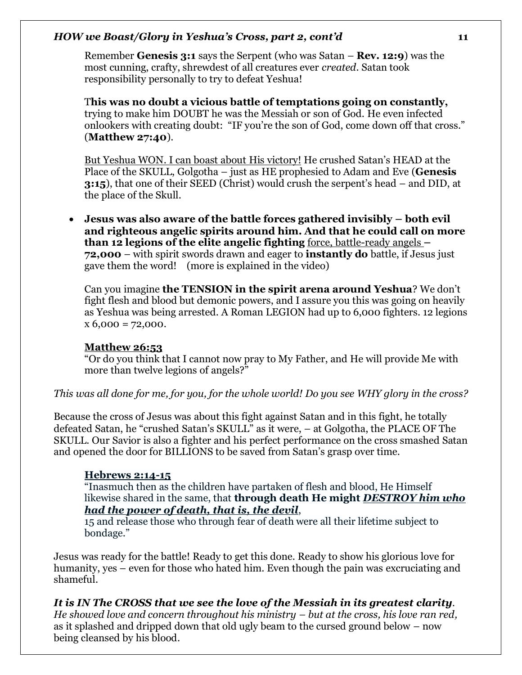Remember **Genesis 3:1** says the Serpent (who was Satan – **Rev. 12:9**) was the most cunning, crafty, shrewdest of all creatures ever *created*. Satan took responsibility personally to try to defeat Yeshua!

T**his was no doubt a vicious battle of temptations going on constantly,**  trying to make him DOUBT he was the Messiah or son of God. He even infected onlookers with creating doubt: "IF you're the son of God, come down off that cross." (**Matthew 27:40**).

But Yeshua WON. I can boast about His victory! He crushed Satan's HEAD at the Place of the SKULL, Golgotha – just as HE prophesied to Adam and Eve (**Genesis 3:15**), that one of their SEED (Christ) would crush the serpent's head – and DID, at the place of the Skull.

• **Jesus was also aware of the battle forces gathered invisibly – both evil and righteous angelic spirits around him. And that he could call on more than 12 legions of the elite angelic fighting** force, battle-ready angels **– 72,000** – with spirit swords drawn and eager to **instantly do** battle, if Jesus just gave them the word! (more is explained in the video)

Can you imagine **the TENSION in the spirit arena around Yeshua**? We don't fight flesh and blood but demonic powers, and I assure you this was going on heavily as Yeshua was being arrested. A Roman LEGION had up to 6,000 fighters. 12 legions  $x\,6,000 = 72,000.$ 

# **Matthew 26:53**

"Or do you think that I cannot now pray to My Father, and He will provide Me with more than twelve legions of angels?"

*This was all done for me, for you, for the whole world! Do you see WHY glory in the cross?* 

Because the cross of Jesus was about this fight against Satan and in this fight, he totally defeated Satan, he "crushed Satan's SKULL" as it were, – at Golgotha, the PLACE OF The SKULL. Our Savior is also a fighter and his perfect performance on the cross smashed Satan and opened the door for BILLIONS to be saved from Satan's grasp over time.

### **Hebrews 2:14-15**

"Inasmuch then as the children have partaken of flesh and blood, He Himself likewise shared in the same, that **through death He might** *DESTROY him who had the power of death, that is, the devil*,

15 and release those who through fear of death were all their lifetime subject to bondage."

Jesus was ready for the battle! Ready to get this done. Ready to show his glorious love for humanity, yes – even for those who hated him. Even though the pain was excruciating and shameful.

*It is IN The CROSS that we see the love of the Messiah in its greatest clarity. He showed love and concern throughout his ministry – but at the cross, his love ran red,* as it splashed and dripped down that old ugly beam to the cursed ground below – now being cleansed by his blood.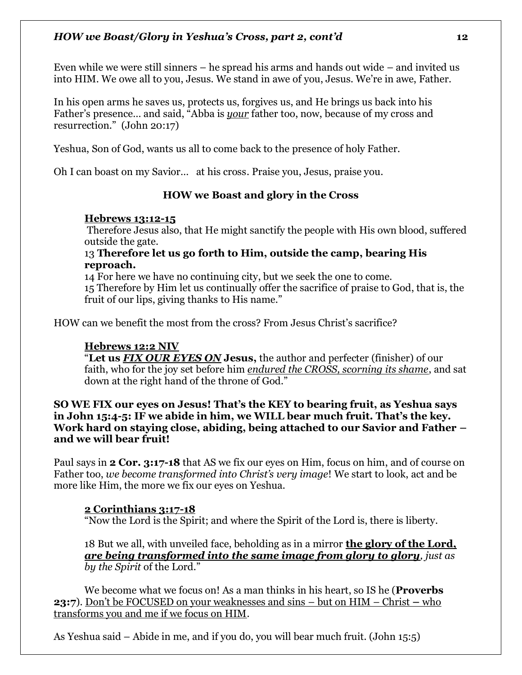Even while we were still sinners – he spread his arms and hands out wide – and invited us into HIM. We owe all to you, Jesus. We stand in awe of you, Jesus. We're in awe, Father.

In his open arms he saves us, protects us, forgives us, and He brings us back into his Father's presence… and said, "Abba is *your* father too, now, because of my cross and resurrection." (John 20:17)

Yeshua, Son of God, wants us all to come back to the presence of holy Father.

Oh I can boast on my Savior… at his cross. Praise you, Jesus, praise you.

# **HOW we Boast and glory in the Cross**

# **Hebrews 13:12-15**

Therefore Jesus also, that He might sanctify the people with His own blood, suffered outside the gate.

13 **Therefore let us go forth to Him, outside the camp, bearing His reproach.**

14 For here we have no continuing city, but we seek the one to come. 15 Therefore by Him let us continually offer the sacrifice of praise to God, that is, the fruit of our lips, giving thanks to His name."

HOW can we benefit the most from the cross? From Jesus Christ's sacrifice?

# **Hebrews 12:2 NIV**

"**Let us** *FIX OUR EYES ON* **Jesus,** the author and perfecter (finisher) of our faith, who for the joy set before him *endured the CROSS, scorning its shame*, and sat down at the right hand of the throne of God."

### **SO WE FIX our eyes on Jesus! That's the KEY to bearing fruit, as Yeshua says in John 15:4-5: IF we abide in him, we WILL bear much fruit. That's the key. Work hard on staying close, abiding, being attached to our Savior and Father – and we will bear fruit!**

Paul says in **2 Cor. 3:17-18** that AS we fix our eyes on Him, focus on him, and of course on Father too, *we become transformed into Christ's very image*! We start to look, act and be more like Him, the more we fix our eyes on Yeshua.

# **2 Corinthians 3:17-18**

"Now the Lord is the Spirit; and where the Spirit of the Lord is, there is liberty.

18 But we all, with unveiled face, beholding as in a mirror **the glory of the Lord,**  *are being transformed into the same image from glory to glory, just as by the Spirit* of the Lord."

We become what we focus on! As a man thinks in his heart, so IS he (**Proverbs 23:7**). Don't be FOCUSED on your weaknesses and sins – but on HIM – Christ **–** who transforms you and me if we focus on HIM.

As Yeshua said – Abide in me, and if you do, you will bear much fruit. (John 15:5)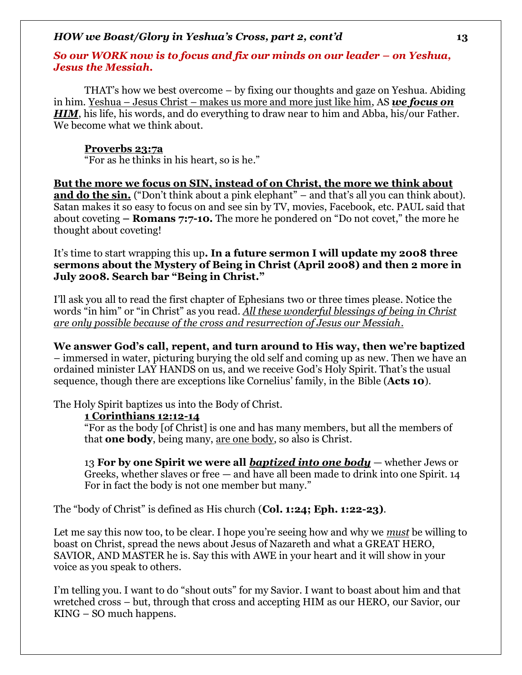### *So our WORK now is to focus and fix our minds on our leader – on Yeshua, Jesus the Messiah.*

THAT's how we best overcome – by fixing our thoughts and gaze on Yeshua. Abiding in him. Yeshua – Jesus Christ – makes us more and more just like him, AS *we focus on HIM*, his life, his words, and do everything to draw near to him and Abba, his/our Father. We become what we think about.

### **Proverbs 23:7a**

"For as he thinks in his heart, so is he."

**But the more we focus on SIN, instead of on Christ, the more we think about and do the sin.** ("Don't think about a pink elephant" – and that's all you can think about). Satan makes it so easy to focus on and see sin by TV, movies, Facebook, etc. PAUL said that about coveting **– Romans 7:7-10.** The more he pondered on "Do not covet," the more he thought about coveting!

It's time to start wrapping this up**. In a future sermon I will update my 2008 three sermons about the Mystery of Being in Christ (April 2008) and then 2 more in July 2008. Search bar "Being in Christ."**

I'll ask you all to read the first chapter of Ephesians two or three times please. Notice the words "in him" or "in Christ" as you read. *All these wonderful blessings of being in Christ are only possible because of the cross and resurrection of Jesus our Messiah.* 

**We answer God's call, repent, and turn around to His way, then we're baptized** – immersed in water, picturing burying the old self and coming up as new. Then we have an ordained minister LAY HANDS on us, and we receive God's Holy Spirit. That's the usual sequence, though there are exceptions like Cornelius' family, in the Bible (**Acts 10**).

The Holy Spirit baptizes us into the Body of Christ.

### **1 Corinthians 12:12-14**

"For as the body [of Christ] is one and has many members, but all the members of that **one body**, being many, are one body, so also is Christ.

13 **For by one Spirit we were all** *baptized into one body* — whether Jews or Greeks, whether slaves or free — and have all been made to drink into one Spirit. 14 For in fact the body is not one member but many."

The "body of Christ" is defined as His church (**Col. 1:24; Eph. 1:22-23)**.

Let me say this now too, to be clear. I hope you're seeing how and why we *must* be willing to boast on Christ, spread the news about Jesus of Nazareth and what a GREAT HERO, SAVIOR, AND MASTER he is. Say this with AWE in your heart and it will show in your voice as you speak to others.

I'm telling you. I want to do "shout outs" for my Savior. I want to boast about him and that wretched cross – but, through that cross and accepting HIM as our HERO, our Savior, our KING – SO much happens.